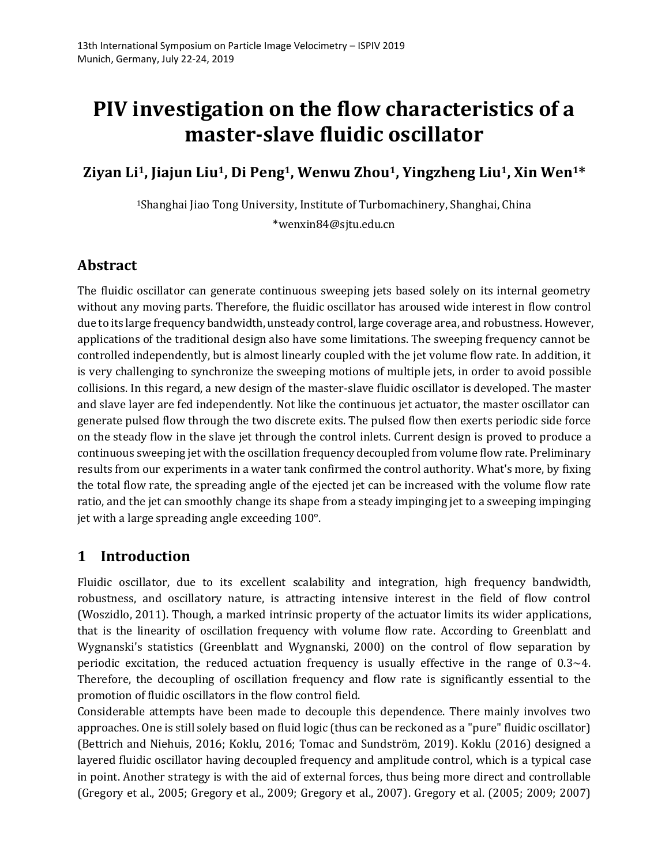# **PIV investigation on the flow characteristics of a master-slave fluidic oscillator**

**Ziyan Li1, Jiajun Liu1, Di Peng1, Wenwu Zhou1, Yingzheng Liu1, Xin Wen1\***

<sup>1</sup>Shanghai Jiao Tong University, Institute of Turbomachinery, Shanghai, China \*wenxin84@sjtu.edu.cn

## **Abstract**

The fluidic oscillator can generate continuous sweeping jets based solely on its internal geometry without any moving parts. Therefore, the fluidic oscillator has aroused wide interest in flow control due to its large frequency bandwidth, unsteady control, large coverage area, and robustness. However, applications of the traditional design also have some limitations. The sweeping frequency cannot be controlled independently, but is almost linearly coupled with the jet volume flow rate. In addition, it is very challenging to synchronize the sweeping motions of multiple jets, in order to avoid possible collisions. In this regard, a new design of the master-slave fluidic oscillator is developed. The master and slave layer are fed independently. Not like the continuous jet actuator, the master oscillator can generate pulsed flow through the two discrete exits. The pulsed flow then exerts periodic side force on the steady flow in the slave jet through the control inlets. Current design is proved to produce a continuous sweeping jet with the oscillation frequency decoupled from volume flow rate. Preliminary results from our experiments in a water tank confirmed the control authority. What's more, by fixing the total flow rate, the spreading angle of the ejected jet can be increased with the volume flow rate ratio, and the jet can smoothly change its shape from a steady impinging jet to a sweeping impinging jet with a large spreading angle exceeding 100°.

#### **1 Introduction**

Fluidic oscillator, due to its excellent scalability and integration, high frequency bandwidth, robustness, and oscillatory nature, is attracting intensive interest in the field of flow control (Woszidlo, 2011). Though, a marked intrinsic property of the actuator limits its wider applications, that is the linearity of oscillation frequency with volume flow rate. According to Greenblatt and Wygnanski's statistics (Greenblatt and Wygnanski, 2000) on the control of flow separation by periodic excitation, the reduced actuation frequency is usually effective in the range of  $0.3 \sim 4$ . Therefore, the decoupling of oscillation frequency and flow rate is significantly essential to the promotion of fluidic oscillators in the flow control field.

Considerable attempts have been made to decouple this dependence. There mainly involves two approaches. One is still solely based on fluid logic (thus can be reckoned as a "pure" fluidic oscillator) (Bettrich and Niehuis, 2016; Koklu, 2016; Tomac and Sundström, 2019). Koklu (2016) designed a layered fluidic oscillator having decoupled frequency and amplitude control, which is a typical case in point. Another strategy is with the aid of external forces, thus being more direct and controllable (Gregory et al., 2005; Gregory et al., 2009; Gregory et al., 2007). Gregory et al. (2005; 2009; 2007)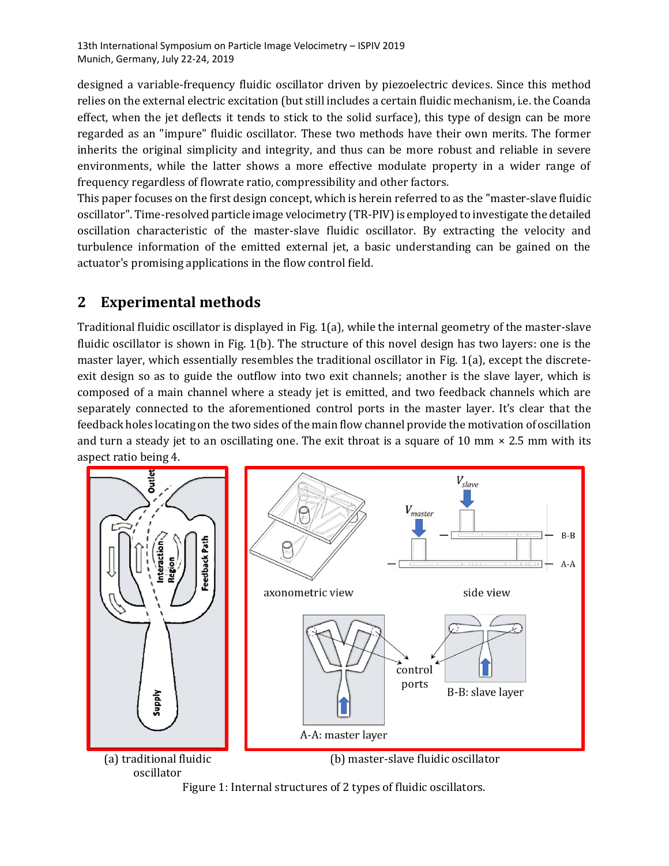designed a variable-frequency fluidic oscillator driven by piezoelectric devices. Since this method relies on the external electric excitation (but still includes a certain fluidic mechanism, i.e. the Coanda effect, when the jet deflects it tends to stick to the solid surface), this type of design can be more regarded as an "impure" fluidic oscillator. These two methods have their own merits. The former inherits the original simplicity and integrity, and thus can be more robust and reliable in severe environments, while the latter shows a more effective modulate property in a wider range of frequency regardless of flowrate ratio, compressibility and other factors.

This paper focuses on the first design concept, which is herein referred to as the "master-slave fluidic oscillator". Time-resolved particle image velocimetry (TR-PIV) is employed to investigate the detailed oscillation characteristic of the master-slave fluidic oscillator. By extracting the velocity and turbulence information of the emitted external jet, a basic understanding can be gained on the actuator's promising applications in the flow control field.

# **2 Experimental methods**

Traditional fluidic oscillator is displayed in Fig. 1(a), while the internal geometry of the master-slave fluidic oscillator is shown in Fig. 1(b). The structure of this novel design has two layers: one is the master layer, which essentially resembles the traditional oscillator in Fig. 1(a), except the discreteexit design so as to guide the outflow into two exit channels; another is the slave layer, which is composed of a main channel where a steady jet is emitted, and two feedback channels which are separately connected to the aforementioned control ports in the master layer. It's clear that the feedback holes locating on the two sides of the main flow channel provide the motivation of oscillation and turn a steady jet to an oscillating one. The exit throat is a square of 10 mm  $\times$  2.5 mm with its aspect ratio being 4.



Figure 1: Internal structures of 2 types of fluidic oscillators.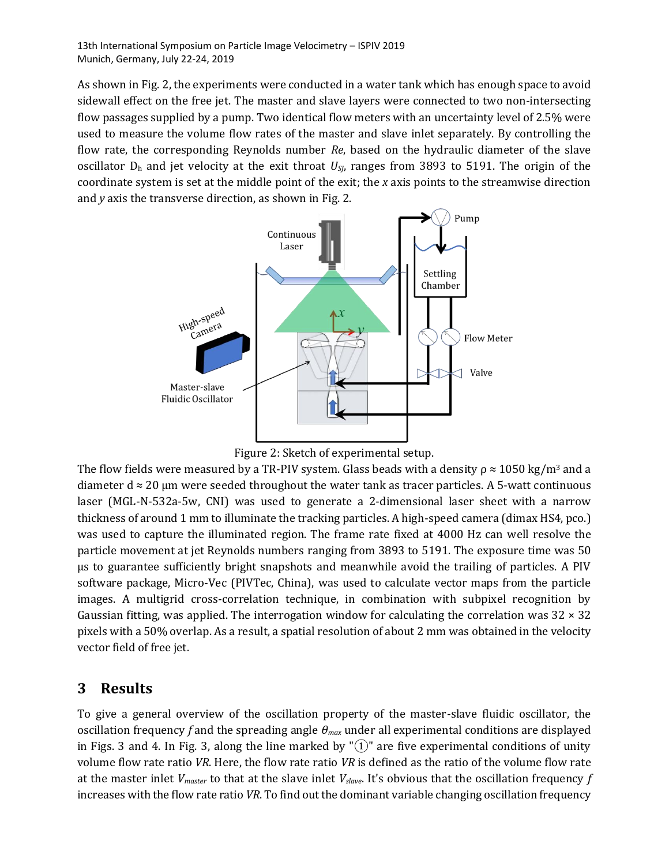As shown in Fig. 2, the experiments were conducted in a water tank which has enough space to avoid sidewall effect on the free jet. The master and slave layers were connected to two non-intersecting flow passages supplied by a pump. Two identical flow meters with an uncertainty level of 2.5% were used to measure the volume flow rates of the master and slave inlet separately. By controlling the flow rate, the corresponding Reynolds number *Re*, based on the hydraulic diameter of the slave oscillator  $D_h$  and jet velocity at the exit throat  $U_{S}$ , ranges from 3893 to 5191. The origin of the coordinate system is set at the middle point of the exit; the *x* axis points to the streamwise direction and *y* axis the transverse direction, as shown in Fig. 2.



Figure 2: Sketch of experimental setup.

The flow fields were measured by a TR-PIV system. Glass beads with a density  $\rho \approx 1050 \text{ kg/m}^3$  and a diameter  $d \approx 20$  µm were seeded throughout the water tank as tracer particles. A 5-watt continuous laser (MGL-N-532a-5w, CNI) was used to generate a 2-dimensional laser sheet with a narrow thickness of around 1 mm to illuminate the tracking particles. A high-speed camera (dimax HS4, pco.) was used to capture the illuminated region. The frame rate fixed at 4000 Hz can well resolve the particle movement at jet Reynolds numbers ranging from 3893 to 5191. The exposure time was 50 μs to guarantee sufficiently bright snapshots and meanwhile avoid the trailing of particles. A PIV software package, Micro-Vec (PIVTec, China), was used to calculate vector maps from the particle images. A multigrid cross-correlation technique, in combination with subpixel recognition by Gaussian fitting, was applied. The interrogation window for calculating the correlation was  $32 \times 32$ pixels with a 50% overlap. As a result, a spatial resolution of about 2 mm was obtained in the velocity vector field of free jet.

#### **3 Results**

To give a general overview of the oscillation property of the master-slave fluidic oscillator, the oscillation frequency *f* and the spreading angle *θmax* under all experimental conditions are displayed in Figs. 3 and 4. In Fig. 3, along the line marked by " $(1)$ " are five experimental conditions of unity volume flow rate ratio *VR*. Here, the flow rate ratio *VR* is defined as the ratio of the volume flow rate at the master inlet *Vmaster* to that at the slave inlet *Vslave*. It's obvious that the oscillation frequency *f* increases with the flow rate ratio *VR*. To find out the dominant variable changing oscillation frequency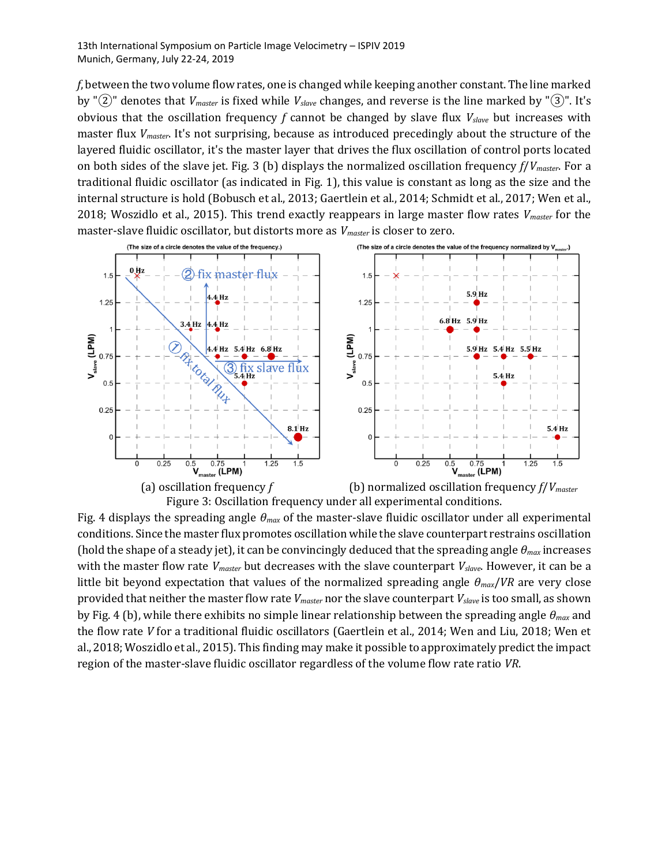*f*, between the two volume flow rates, one is changed while keeping another constant. The line marked by "②" denotes that *Vmaster* is fixed while *Vslave* changes, and reverse is the line marked by "③". It's obvious that the oscillation frequency *f* cannot be changed by slave flux *Vslave* but increases with master flux *Vmaster*. It's not surprising, because as introduced precedingly about the structure of the layered fluidic oscillator, it's the master layer that drives the flux oscillation of control ports located on both sides of the slave jet. Fig. 3 (b) displays the normalized oscillation frequency *f*/*Vmaster*. For a traditional fluidic oscillator (as indicated in Fig. 1), this value is constant as long as the size and the internal structure is hold (Bobusch et al., 2013; Gaertlein et al., 2014; Schmidt et al., 2017; Wen et al., 2018; Woszidlo et al., 2015). This trend exactly reappears in large master flow rates *Vmaster* for the master-slave fluidic oscillator, but distorts more as *Vmaster* is closer to zero.





Fig. 4 displays the spreading angle *θmax* of the master-slave fluidic oscillator under all experimental conditions. Since the master flux promotes oscillation while the slave counterpart restrains oscillation (hold the shape of a steady jet), it can be convincingly deduced that the spreading angle *θmax* increases with the master flow rate *Vmaster* but decreases with the slave counterpart *Vslave*. However, it can be a little bit beyond expectation that values of the normalized spreading angle *θmax*/*VR* are very close provided that neither the master flow rate *Vmaster* nor the slave counterpart *Vslave* is too small, as shown by Fig. 4 (b), while there exhibits no simple linear relationship between the spreading angle *θmax* and the flow rate *V* for a traditional fluidic oscillators (Gaertlein et al., 2014; Wen and Liu, 2018; Wen et al., 2018; Woszidlo et al., 2015). This finding may make it possible to approximately predict the impact region of the master-slave fluidic oscillator regardless of the volume flow rate ratio *VR*.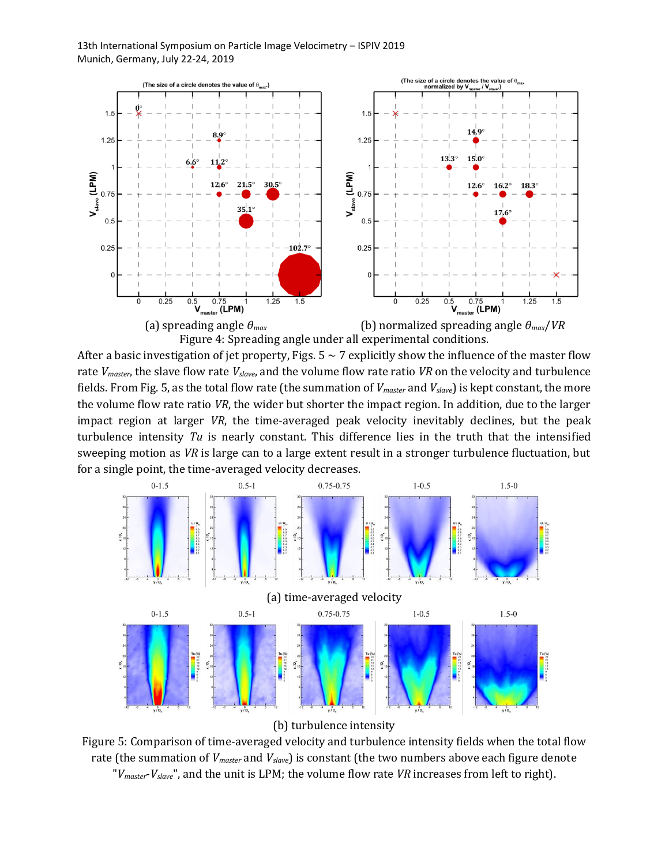

After a basic investigation of jet property, Figs.  $5 \sim 7$  explicitly show the influence of the master flow rate *Vmaster*, the slave flow rate *Vslave*, and the volume flow rate ratio *VR* on the velocity and turbulence fields. From Fig. 5, as the total flow rate (the summation of *Vmaster* and *Vslave*) is kept constant, the more the volume flow rate ratio *VR*, the wider but shorter the impact region. In addition, due to the larger impact region at larger *VR*, the time-averaged peak velocity inevitably declines, but the peak turbulence intensity *Tu* is nearly constant. This difference lies in the truth that the intensified sweeping motion as *VR* is large can to a large extent result in a stronger turbulence fluctuation, but for a single point, the time-averaged velocity decreases.



(b) turbulence intensity

Figure 5: Comparison of time-averaged velocity and turbulence intensity fields when the total flow rate (the summation of *Vmaster* and *Vslave*) is constant (the two numbers above each figure denote "*Vmaster*-*Vslave*", and the unit is LPM; the volume flow rate *VR* increases from left to right).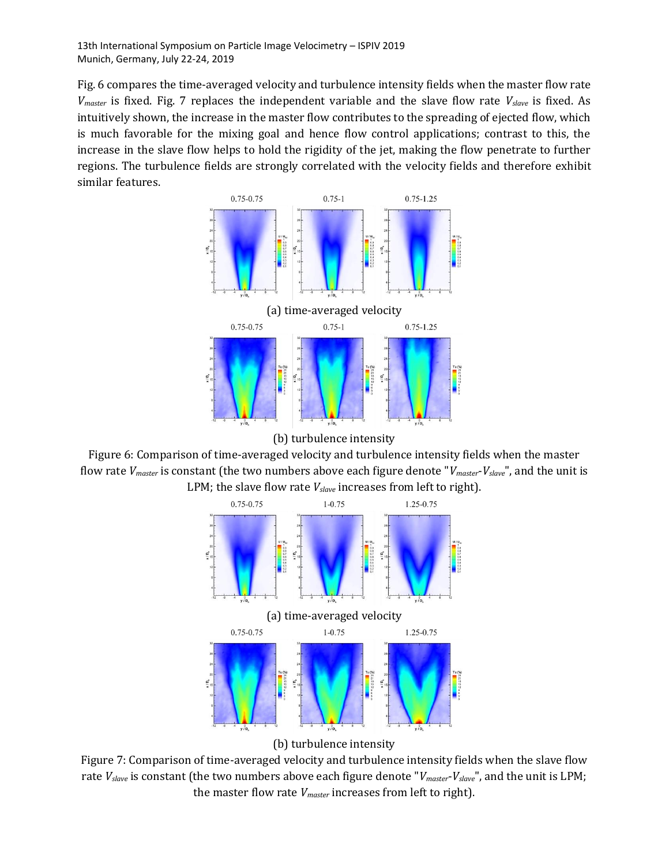Fig. 6 compares the time-averaged velocity and turbulence intensity fields when the master flow rate *Vmaster* is fixed. Fig. 7 replaces the independent variable and the slave flow rate *Vslave* is fixed. As intuitively shown, the increase in the master flow contributes to the spreading of ejected flow, which is much favorable for the mixing goal and hence flow control applications; contrast to this, the increase in the slave flow helps to hold the rigidity of the jet, making the flow penetrate to further regions. The turbulence fields are strongly correlated with the velocity fields and therefore exhibit similar features.



(b) turbulence intensity

Figure 6: Comparison of time-averaged velocity and turbulence intensity fields when the master flow rate *Vmaster* is constant (the two numbers above each figure denote "*Vmaster*-*Vslave*", and the unit is LPM; the slave flow rate *Vslave* increases from left to right).



(b) turbulence intensity

Figure 7: Comparison of time-averaged velocity and turbulence intensity fields when the slave flow rate *Vslave* is constant (the two numbers above each figure denote "*Vmaster*-*Vslave*", and the unit is LPM; the master flow rate *Vmaster* increases from left to right).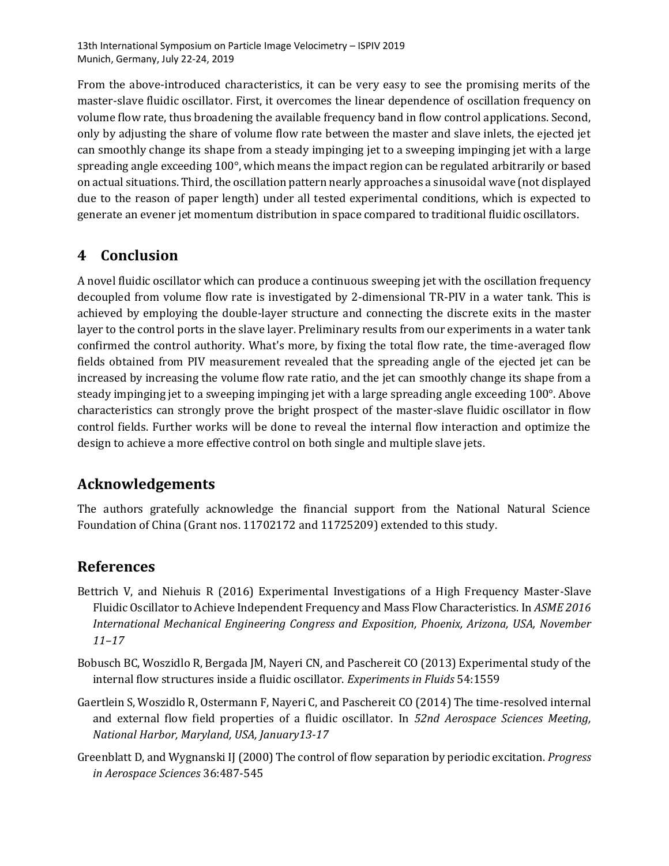From the above-introduced characteristics, it can be very easy to see the promising merits of the master-slave fluidic oscillator. First, it overcomes the linear dependence of oscillation frequency on volume flow rate, thus broadening the available frequency band in flow control applications. Second, only by adjusting the share of volume flow rate between the master and slave inlets, the ejected jet can smoothly change its shape from a steady impinging jet to a sweeping impinging jet with a large spreading angle exceeding 100°, which means the impact region can be regulated arbitrarily or based on actual situations. Third, the oscillation pattern nearly approaches a sinusoidal wave (not displayed due to the reason of paper length) under all tested experimental conditions, which is expected to generate an evener jet momentum distribution in space compared to traditional fluidic oscillators.

## **4 Conclusion**

A novel fluidic oscillator which can produce a continuous sweeping jet with the oscillation frequency decoupled from volume flow rate is investigated by 2-dimensional TR-PIV in a water tank. This is achieved by employing the double-layer structure and connecting the discrete exits in the master layer to the control ports in the slave layer. Preliminary results from our experiments in a water tank confirmed the control authority. What's more, by fixing the total flow rate, the time-averaged flow fields obtained from PIV measurement revealed that the spreading angle of the ejected jet can be increased by increasing the volume flow rate ratio, and the jet can smoothly change its shape from a steady impinging jet to a sweeping impinging jet with a large spreading angle exceeding 100°. Above characteristics can strongly prove the bright prospect of the master-slave fluidic oscillator in flow control fields. Further works will be done to reveal the internal flow interaction and optimize the design to achieve a more effective control on both single and multiple slave jets.

#### **Acknowledgements**

The authors gratefully acknowledge the financial support from the National Natural Science Foundation of China (Grant nos. 11702172 and 11725209) extended to this study.

#### **References**

- Bettrich V, and Niehuis R (2016) Experimental Investigations of a High Frequency Master-Slave Fluidic Oscillator to Achieve Independent Frequency and Mass Flow Characteristics. In *ASME 2016 International Mechanical Engineering Congress and Exposition, Phoenix, Arizona, USA, November 11–17*
- Bobusch BC, Woszidlo R, Bergada JM, Nayeri CN, and Paschereit CO (2013) Experimental study of the internal flow structures inside a fluidic oscillator. *Experiments in Fluids* 54:1559
- Gaertlein S, Woszidlo R, Ostermann F, Nayeri C, and Paschereit CO (2014) The time-resolved internal and external flow field properties of a fluidic oscillator. In *52nd Aerospace Sciences Meeting, National Harbor, Maryland, USA, January13-17*
- Greenblatt D, and Wygnanski IJ (2000) The control of flow separation by periodic excitation. *Progress in Aerospace Sciences* 36:487-545